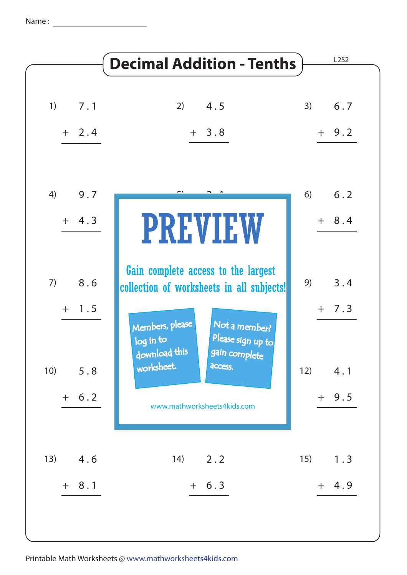